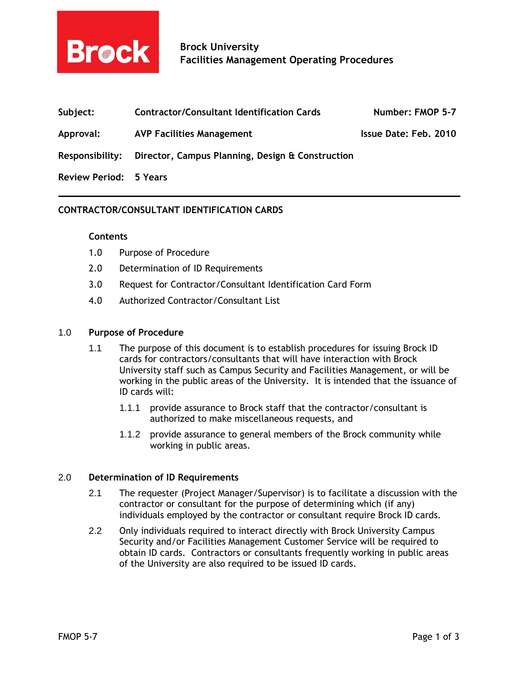

| Subject:  | <b>Contractor/Consultant Identification Cards</b>                | Number: FMOP 5-7      |
|-----------|------------------------------------------------------------------|-----------------------|
| Approval: | <b>AVP Facilities Management</b>                                 | Issue Date: Feb. 2010 |
|           | Responsibility: Director, Campus Planning, Design & Construction |                       |

Review Period: 5 Years

# CONTRACTOR/CONSULTANT IDENTIFICATION CARDS

## **Contents**

- 1.0 Purpose of Procedure
- 2.0 Determination of ID Requirements
- 3.0 Request for Contractor/Consultant Identification Card Form
- 4.0 Authorized Contractor/Consultant List

#### 1.0 Purpose of Procedure

- 1.1 The purpose of this document is to establish procedures for issuing Brock ID cards for contractors/consultants that will have interaction with Brock University staff such as Campus Security and Facilities Management, or will be working in the public areas of the University. It is intended that the issuance of ID cards will:
	- 1.1.1 provide assurance to Brock staff that the contractor/consultant is authorized to make miscellaneous requests, and
	- 1.1.2 provide assurance to general members of the Brock community while working in public areas.

## 2.0 Determination of ID Requirements

- 2.1 The requester (Project Manager/Supervisor) is to facilitate a discussion with the contractor or consultant for the purpose of determining which (if any) individuals employed by the contractor or consultant require Brock ID cards.
- 2.2 Only individuals required to interact directly with Brock University Campus Security and/or Facilities Management Customer Service will be required to obtain ID cards. Contractors or consultants frequently working in public areas of the University are also required to be issued ID cards.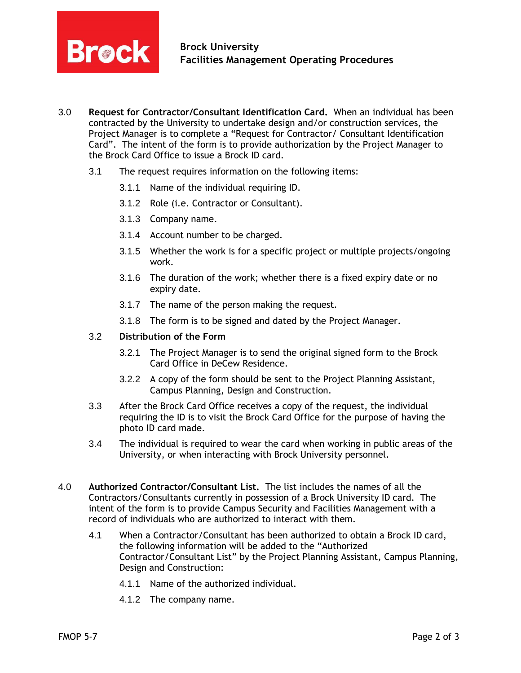

- 3.0 Request for Contractor/Consultant Identification Card. When an individual has been contracted by the University to undertake design and/or construction services, the Project Manager is to complete a "Request for Contractor/ Consultant Identification Card". The intent of the form is to provide authorization by the Project Manager to the Brock Card Office to issue a Brock ID card.
	- 3.1 The request requires information on the following items:
		- 3.1.1 Name of the individual requiring ID.
		- 3.1.2 Role (i.e. Contractor or Consultant).
		- 3.1.3 Company name.
		- 3.1.4 Account number to be charged.
		- 3.1.5 Whether the work is for a specific project or multiple projects/ongoing work.
		- 3.1.6 The duration of the work; whether there is a fixed expiry date or no expiry date.
		- 3.1.7 The name of the person making the request.
		- 3.1.8 The form is to be signed and dated by the Project Manager.

## 3.2 Distribution of the Form

- 3.2.1 The Project Manager is to send the original signed form to the Brock Card Office in DeCew Residence.
- 3.2.2 A copy of the form should be sent to the Project Planning Assistant, Campus Planning, Design and Construction.
- 3.3 After the Brock Card Office receives a copy of the request, the individual requiring the ID is to visit the Brock Card Office for the purpose of having the photo ID card made.
- 3.4 The individual is required to wear the card when working in public areas of the University, or when interacting with Brock University personnel.
- 4.0 Authorized Contractor/Consultant List. The list includes the names of all the Contractors/Consultants currently in possession of a Brock University ID card. The intent of the form is to provide Campus Security and Facilities Management with a record of individuals who are authorized to interact with them.
	- 4.1 When a Contractor/Consultant has been authorized to obtain a Brock ID card, the following information will be added to the "Authorized Contractor/Consultant List" by the Project Planning Assistant, Campus Planning, Design and Construction:
		- 4.1.1 Name of the authorized individual.
		- 4.1.2 The company name.